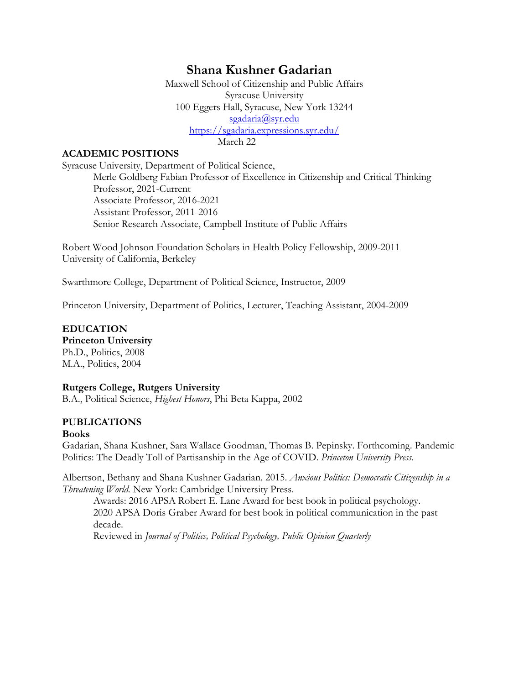# **Shana Kushner Gadarian**

 Maxwell School of Citizenship and Public Affairs sgadaria@syr.edu Syracuse University 100 Eggers Hall, Syracuse, New York 13244 https://sgadaria.expressions.syr.edu/ March 22

#### **ACADEMIC POSITIONS**

Syracuse University, Department of Political Science, Merle Goldberg Fabian Professor of Excellence in Citizenship and Critical Thinking Professor, 2021-Current Associate Professor, 2016-2021

Assistant Professor, 2011-2016 Senior Research Associate, Campbell Institute of Public Affairs

Robert Wood Johnson Foundation Scholars in Health Policy Fellowship, 2009-2011 University of California, Berkeley

Swarthmore College, Department of Political Science, Instructor, 2009

Princeton University, Department of Politics, Lecturer, Teaching Assistant, 2004-2009

 **Princeton University EDUCATION** 

Ph.D., Politics, 2008 M.A., Politics, 2004

#### **Rutgers College, Rutgers University**

B.A., Political Science, *Highest Honors*, Phi Beta Kappa, 2002

#### **PUBLICATIONS**

#### **Books**

 Gadarian, Shana Kushner, Sara Wallace Goodman, Thomas B. Pepinsky. Forthcoming. Pandemic Politics: The Deadly Toll of Partisanship in the Age of COVID. *Princeton University Press.* 

 Albertson, Bethany and Shana Kushner Gadarian. 2015. *Anxious Politics: Democratic Citizenship in a Threatening World.* New York: Cambridge University Press.

 Awards: 2016 APSA Robert E. Lane Award for best book in political psychology. 2020 APSA Doris Graber Award for best book in political communication in the past decade.

Reviewed in *Journal of Politics, Political Psychology, Public Opinion Quarterly*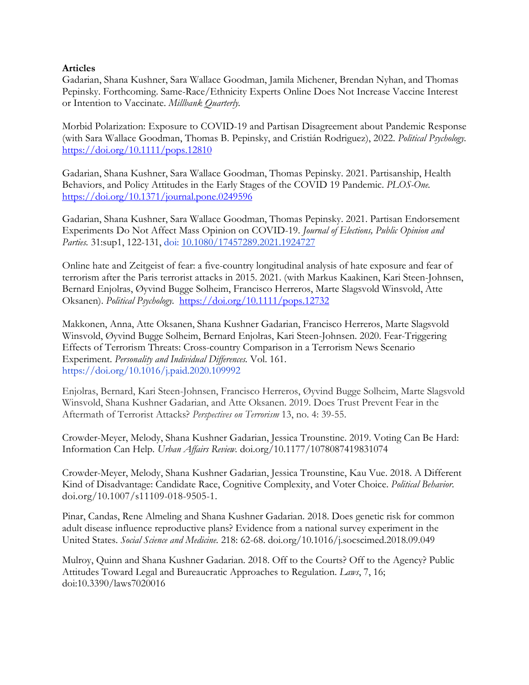#### **Articles**

 Gadarian, Shana Kushner, Sara Wallace Goodman, Jamila Michener, Brendan Nyhan, and Thomas Pepinsky. Forthcoming. Same-Race/Ethnicity Experts Online Does Not Increase Vaccine Interest or Intention to Vaccinate. *Millbank Quarterly.* 

Morbid Polarization: Exposure to COVID-19 and Partisan Disagreement about Pandemic Response (with Sara Wallace Goodman, Thomas B. Pepinsky, and Cristián Rodriguez), 2022. *Political Psychology.*  <https://doi.org/10.1111/pops.12810>

 Gadarian, Shana Kushner, Sara Wallace Goodman, Thomas Pepinsky. 2021. Partisanship, Health Behaviors, and Policy Attitudes in the Early Stages of the COVID 19 Pandemic. *PLOS-One.*  <https://doi.org/10.1371/journal.pone.0249596>

 *Parties.* 31:sup1, 122-131, doi: [10.1080/17457289.2021.1924727](https://doi.org/10.1080/17457289.2021.1924727)  Gadarian, Shana Kushner, Sara Wallace Goodman, Thomas Pepinsky. 2021. Partisan Endorsement Experiments Do Not Affect Mass Opinion on COVID-19. *Journal of Elections, Public Opinion and* 

 Online hate and Zeitgeist of fear: a five-country longitudinal analysis of hate exposure and fear of terrorism after the Paris terrorist attacks in 2015. 2021. (with Markus Kaakinen, Kari Steen-Johnsen, Bernard Enjolras, Øyvind Bugge Solheim, Francisco Herreros, Marte Slagsvold Winsvold, Atte Oksanen). *Political Psychology.* <https://doi.org/10.1111/pops.12732>

Makkonen, Anna, Atte Oksanen, Shana Kushner Gadarian, Francisco Herreros, Marte Slagsvold Winsvold, Øyvind Bugge Solheim, Bernard Enjolras, Kari Steen-Johnsen. 2020. Fear-Triggering Effects of Terrorism Threats: Cross-country Comparison in a Terrorism News Scenario Experiment. *Personality and Individual Differences.* Vol. 161. <https://doi.org/10.1016/j.paid.2020.109992>

Enjolras, Bernard, Kari Steen-Johnsen, Francisco Herreros, Øyvind Bugge Solheim, Marte Slagsvold Winsvold, Shana Kushner Gadarian, and Atte Oksanen. 2019. Does Trust Prevent Fear in the Aftermath of Terrorist Attacks? *Perspectives on Terrorism* 13, no. 4: 39-55.

Crowder-Meyer, Melody, Shana Kushner Gadarian, Jessica Trounstine. 2019. Voting Can Be Hard: Information Can Help*. Urban Affairs Review.* [d](https://doi.org/10.1177%2F1078087419831074)[oi.org/10.1177/107808741983107](https://doi.org/10.1177/1078087419831074)[4](https://doi.org/10.1177%2F1078087419831074) 

 Crowder-Meyer, Melody, Shana Kushner Gadarian, Jessica Trounstine, Kau Vue. 2018. A Different Kind of Disadvantage: Candidate Race, Cognitive Complexity, and Voter Choice. *Political Behavior*. [doi.org/10.1007/s11109-018-9505-1.](https://doi.org/10.1007/s11109-018-9505-1)

 Pinar, Candas, Rene Almeling and Shana Kushner Gadarian. 2018. Does genetic risk for common adult disease influence reproductive plans? Evidence from a national survey experiment in the United States. *Social Science and Medicine.* 218: 62-68. [doi.org/10.1016/j.socscimed.2018.09.049](https://doi.org/10.1016/j.socscimed.2018.09.049) 

 Attitudes Toward Legal and Bureaucratic Approaches to Regulation. *Laws*, 7, 16; Mulroy, Quinn and Shana Kushner Gadarian. 2018. Off to the Courts? Off to the Agency? Public doi:10.3390/laws7020016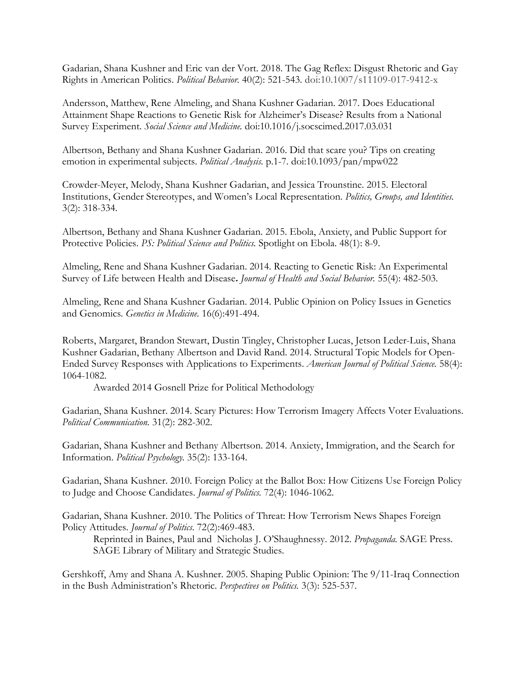Gadarian, Shana Kushner and Eric van der Vort. 2018. The Gag Reflex: Disgust Rhetoric and Gay Rights in American Politics. *Political Behavior.* 40(2): 521-543. doi:10.1007/s11109-017-9412-x

 Attainment Shape Reactions to Genetic Risk for Alzheimer's Disease? Results from a National Andersson, Matthew, Rene Almeling, and Shana Kushner Gadarian. 2017. Does Educational Survey Experiment. *Social Science and Medicine.* doi:10.1016/j.socscimed.2017.03.031

 emotion in experimental subjects. *Political Analysis.* p.1-7. doi:10.1093/pan/mpw022 Albertson, Bethany and Shana Kushner Gadarian. 2016. Did that scare you? Tips on creating

Crowder-Meyer, Melody, Shana Kushner Gadarian, and Jessica Trounstine. 2015. Electoral Institutions, Gender Stereotypes, and Women's Local Representation. *Politics, Groups, and Identities.*  3(2): 318-334.

 Albertson, Bethany and Shana Kushner Gadarian. 2015. Ebola, Anxiety, and Public Support for Protective Policies. *PS: Political Science and Politics.* Spotlight on Ebola. 48(1): 8-9.

 Almeling, Rene and Shana Kushner Gadarian. 2014. Reacting to Genetic Risk: An Experimental Survey of Life between Health and Disease**.** *Journal of Health and Social Behavior.* 55(4): 482-503.

 Almeling, Rene and Shana Kushner Gadarian. 2014. Public Opinion on Policy Issues in Genetics  and Genomics. *Genetics in Medicine.* 16(6):491-494.

 Kushner Gadarian, Bethany Albertson and David Rand. 2014. Structural Topic Models for Open- Ended Survey Responses with Applications to Experiments. *American Journal of Political Science.* 58(4): Roberts, Margaret, Brandon Stewart, Dustin Tingley, Christopher Lucas, Jetson Leder-Luis, Shana 1064-1082.

Awarded 2014 Gosnell Prize for Political Methodology

 Awarded 2014 Gosnell Prize for Political Methodology Gadarian, Shana Kushner. 2014. Scary Pictures: How Terrorism Imagery Affects Voter Evaluations. *Political Communication.* 31(2): 282-302.

Gadarian, Shana Kushner and Bethany Albertson. 2014. Anxiety, Immigration, and the Search for Information. *Political Psychology.* 35(2): 133-164.

 Gadarian, Shana Kushner. 2010. Foreign Policy at the Ballot Box: How Citizens Use Foreign Policy to Judge and Choose Candidates. *Journal of Politics.* 72(4): 1046-1062.

Policy Attitudes. Journal of Politics. 72(2):469-483. Gadarian, Shana Kushner. 2010. The Politics of Threat: How Terrorism News Shapes Foreign

 Policy Attitudes. *Journal of Politics*. 72(2):469-483. Reprinted in Baines, Paul and Nicholas J. O'Shaughnessy. 2012. *Propaganda.* SAGE Press. SAGE Library of Military and Strategic Studies.

 in the Bush Administration's Rhetoric. *Perspectives on Politics.* 3(3): 525-537. Gershkoff, Amy and Shana A. Kushner. 2005. Shaping Public Opinion: The 9/11-Iraq Connection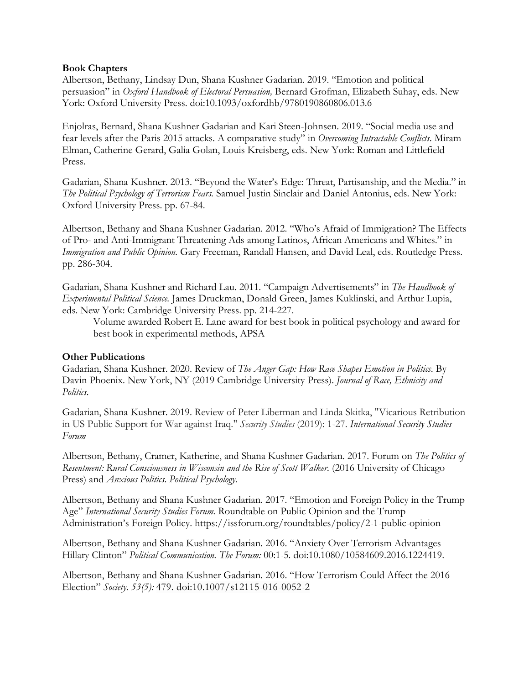#### **Book Chapters**

 Albertson, Bethany, Lindsay Dun, Shana Kushner Gadarian. 2019. "Emotion and political persuasion" in *Oxford Handbook of Electoral Persuasion,* Bernard Grofman, Elizabeth Suhay, eds. New York: Oxford University Press. doi:10.1093/oxfordhb/9780190860806.013.6

Enjolras, Bernard, Shana Kushner Gadarian and Kari Steen-Johnsen. 2019. "Social media use and fear levels after the Paris 2015 attacks. A comparative study" in *Overcoming Intractable Conflicts.* Miram Elman, Catherine Gerard, Galia Golan, Louis Kreisberg, eds. New York: Roman and Littlefield Press.

 Oxford University Press. pp. 67-84. Gadarian, Shana Kushner. 2013. "Beyond the Water's Edge: Threat, Partisanship, and the Media." in *The Political Psychology of Terrorism Fears.* Samuel Justin Sinclair and Daniel Antonius, eds. New York:

 Albertson, Bethany and Shana Kushner Gadarian. 2012. "Who's Afraid of Immigration? The Effects of Pro- and Anti-Immigrant Threatening Ads among Latinos, African Americans and Whites." in *Immigration and Public Opinion.* Gary Freeman, Randall Hansen, and David Leal, eds. Routledge Press. pp. 286-304.

Gadarian, Shana Kushner and Richard Lau. 2011. "Campaign Advertisements" in *The Handbook of Experimental Political Science.* James Druckman, Donald Green, James Kuklinski, and Arthur Lupia, eds. New York: Cambridge University Press. pp. 214-227.

Volume awarded Robert E. Lane award for best book in political psychology and award for best book in experimental methods, APSA

#### **Other Publications**

Gadarian, Shana Kushner. 2020. Review of *The Anger Gap: How Race Shapes Emotion in Politics*. By Davin Phoenix. New York, NY (2019 Cambridge University Press). *Journal of Race, Ethnicity and Politics.* 

Gadarian, Shana Kushner. 2019. Review of Peter Liberman and Linda Skitka, "Vicarious Retribution in US Public Support for War against Iraq." *Security Studies* (2019): 1-27. *International Security Studies Forum* 

 Albertson, Bethany, Cramer, Katherine, and Shana Kushner Gadarian. 2017. Forum on *The Politics of*  Resentment: Rural Consciousness in Wisconsin and the Rise of Scott Walker. (2016 University of Chicago Press) and *Anxious Politics*. *Political Psychology.* 

Albertson, Bethany and Shana Kushner Gadarian. 2017. "Emotion and Foreign Policy in the Trump Age" *International Security Studies Forum.* Roundtable on Public Opinion and the Trump Administration's Foreign Policy.<https://issforum.org/roundtables/policy/2-1-public-opinion>

Albertson, Bethany and Shana Kushner Gadarian. 2016. "Anxiety Over Terrorism Advantages Hillary Clinton" *Political Communication. The Forum:* 00:1-5. doi:10.1080/10584609.2016.1224419.

 Albertson, Bethany and Shana Kushner Gadarian. 2016. "How Terrorism Could Affect the 2016 Election" *Society. 53(5):* 479. doi:10.1007/s12115-016-0052-2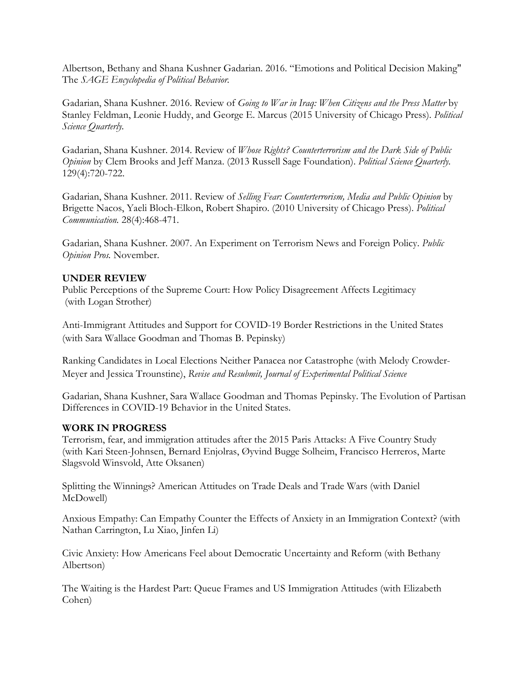Albertson, Bethany and Shana Kushner Gadarian. 2016. "Emotions and Political Decision Making" The *SAGE Encyclopedia of Political Behavior.* 

Gadarian, Shana Kushner. 2016. Review of *Going to War in Iraq: When Citizens and the Press Matter* by Stanley Feldman, Leonie Huddy, and George E. Marcus (2015 University of Chicago Press). *Political Science Quarterly.* 

 *Opinion* by Clem Brooks and Jeff Manza. (2013 Russell Sage Foundation). *Political Science Quarterly.*  Gadarian, Shana Kushner. 2014. Review of *Whose Rights? Counterterrorism and the Dark Side of Public*  129(4):720-722.

 Gadarian, Shana Kushner. 2011. Review of *Selling Fear: Counterterrorism, Media and Public Opinion* by Brigette Nacos, Yaeli Bloch-Elkon, Robert Shapiro. (2010 University of Chicago Press). *Political Communication.* 28(4):468-471.

Gadarian, Shana Kushner. 2007. An Experiment on Terrorism News and Foreign Policy. *Public Opinion Pros.* November.

### **UNDER REVIEW**

Public Perceptions of the Supreme Court: How Policy Disagreement Affects Legitimacy (with Logan Strother)

Anti-Immigrant Attitudes and Support for COVID-19 Border Restrictions in the United States (with Sara Wallace Goodman and Thomas B. Pepinsky)

Ranking Candidates in Local Elections Neither Panacea nor Catastrophe (with Melody Crowder-Meyer and Jessica Trounstine), *Revise and Resubmit, Journal of Experimental Political Science* 

Gadarian, Shana Kushner, Sara Wallace Goodman and Thomas Pepinsky. The Evolution of Partisan Differences in COVID-19 Behavior in the United States.

#### **WORK IN PROGRESS**

 Terrorism, fear, and immigration attitudes after the 2015 Paris Attacks: A Five Country Study (with Kari Steen-Johnsen, Bernard Enjolras, Øyvind Bugge Solheim, Francisco Herreros, Marte Slagsvold Winsvold, Atte Oksanen)

 Splitting the Winnings? American Attitudes on Trade Deals and Trade Wars (with Daniel McDowell)

Anxious Empathy: Can Empathy Counter the Effects of Anxiety in an Immigration Context? (with Nathan Carrington, Lu Xiao, Jinfen Li)

Albertson) Civic Anxiety: How Americans Feel about Democratic Uncertainty and Reform (with Bethany

The Waiting is the Hardest Part: Queue Frames and US Immigration Attitudes (with Elizabeth Cohen)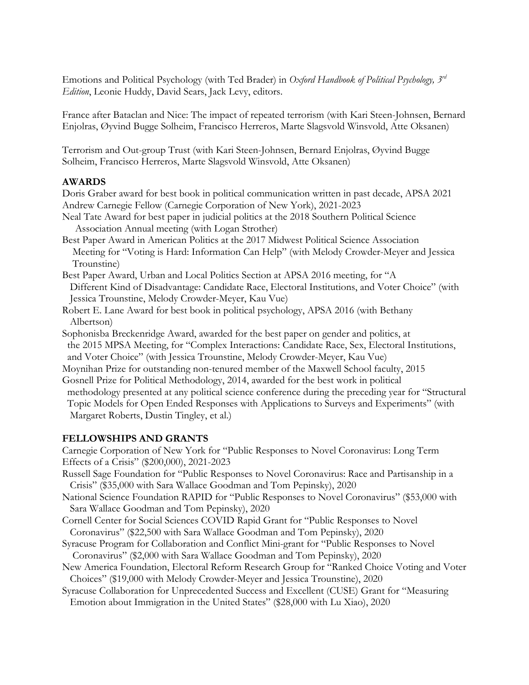Emotions and Political Psychology (with Ted Brader) in *Oxford Handbook of Political Psychology, 3rd Edition*, Leonie Huddy, David Sears, Jack Levy, editors.

 France after Bataclan and Nice: The impact of repeated terrorism (with Kari Steen-Johnsen, Bernard Enjolras, Øyvind Bugge Solheim, Francisco Herreros, Marte Slagsvold Winsvold, Atte Oksanen)

Terrorism and Out-group Trust (with Kari Steen-Johnsen, Bernard Enjolras, Øyvind Bugge Solheim, Francisco Herreros, Marte Slagsvold Winsvold, Atte Oksanen)

### **AWARDS**

 Doris Graber award for best book in political communication written in past decade, APSA 2021 Andrew Carnegie Fellow (Carnegie Corporation of New York), 2021-2023

- Neal Tate Award for best paper in judicial politics at the 2018 Southern Political Science Association Annual meeting (with Logan Strother)
- Best Paper Award in American Politics at the 2017 Midwest Political Science Association Meeting for "Voting is Hard: Information Can Help" (with Melody Crowder-Meyer and Jessica Trounstine)
- Best Paper Award, Urban and Local Politics Section at APSA 2016 meeting, for "A Different Kind of Disadvantage: Candidate Race, Electoral Institutions, and Voter Choice" (with Jessica Trounstine, Melody Crowder-Meyer, Kau Vue)
- Robert E. Lane Award for best book in political psychology, APSA 2016 (with Bethany Albertson)
- Sophonisba Breckenridge Award, awarded for the best paper on gender and politics, at the 2015 MPSA Meeting, for "Complex Interactions: Candidate Race, Sex, Electoral Institutions, and Voter Choice" (with Jessica Trounstine, Melody Crowder-Meyer, Kau Vue)
- Gosnell Prize for Political Methodology, 2014, awarded for the best work in political Moynihan Prize for outstanding non-tenured member of the Maxwell School faculty, 2015 methodology presented at any political science conference during the preceding year for "Structural Topic Models for Open Ended Responses with Applications to Surveys and Experiments" (with Margaret Roberts, Dustin Tingley, et al.)

# **FELLOWSHIPS AND GRANTS**

Carnegie Corporation of New York for "Public Responses to Novel Coronavirus: Long Term Effects of a Crisis" (\$200,000), 2021-2023

- Russell Sage Foundation for "Public Responses to Novel Coronavirus: Race and Partisanship in a Crisis" (\$35,000 with Sara Wallace Goodman and Tom Pepinsky), 2020
- National Science Foundation RAPID for "Public Responses to Novel Coronavirus" (\$53,000 with Sara Wallace Goodman and Tom Pepinsky), 2020
- Cornell Center for Social Sciences COVID Rapid Grant for "Public Responses to Novel Coronavirus" (\$22,500 with Sara Wallace Goodman and Tom Pepinsky), 2020
- Syracuse Program for Collaboration and Conflict Mini-grant for "Public Responses to Novel Coronavirus" (\$2,000 with Sara Wallace Goodman and Tom Pepinsky), 2020
- New America Foundation, Electoral Reform Research Group for "Ranked Choice Voting and Voter Choices" (\$19,000 with Melody Crowder-Meyer and Jessica Trounstine), 2020
- Syracuse Collaboration for Unprecedented Success and Excellent (CUSE) Grant for "Measuring Emotion about Immigration in the United States" (\$28,000 with Lu Xiao), 2020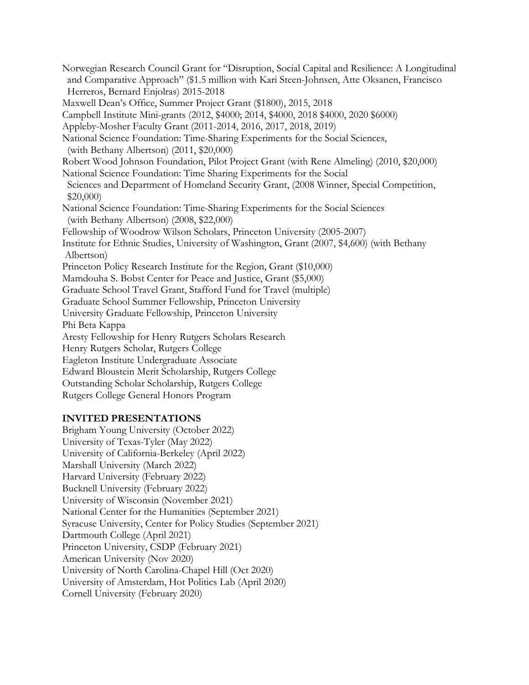National Science Foundation: Time-Sharing Experiments for the Social Sciences, (with Bethany Albertson) (2011, \$20,000) National Science Foundation: Time Sharing Experiments for the Social Fellowship of Woodrow Wilson Scholars, Princeton University (2005-2007) Albertson) Princeton Policy Research Institute for the Region, Grant (\$10,000) Princeton Policy Research Institute for the Region, Grant (\$10,000) Mamdouha S. Bobst Center for Peace and Justice, Grant (\$5,000) Graduate School Travel Grant, Stafford Fund for Travel (multiple) Graduate School Summer Fellowship, Princeton University University Graduate Fellowship, Princeton University Graduate School Summer Fellowship, Princeton University Aresty Fellowship for Henry Rutgers Scholars Research Henry Rutgers Scholar, Rutgers College Edward Bloustein Merit Scholarship, Rutgers College Outstanding Scholar Scholarship, Rutgers College Rutgers College General Honors Program Norwegian Research Council Grant for "Disruption, Social Capital and Resilience: A Longitudinal and Comparative Approach" (\$1.5 million with Kari Steen-Johnsen, Atte Oksanen, Francisco Herreros, Bernard Enjolras) 2015-2018 Maxwell Dean's Office, Summer Project Grant (\$1800), 2015, 2018 Campbell Institute Mini-grants (2012, \$4000; 2014, \$4000, 2018 \$4000, 2020 \$6000) Appleby-Mosher Faculty Grant (2011-2014, 2016, 2017, 2018, 2019) Robert Wood Johnson Foundation, Pilot Project Grant (with Rene Almeling) (2010, \$20,000) Sciences and Department of Homeland Security Grant, (2008 Winner, Special Competition, \$20,000) National Science Foundation: Time-Sharing Experiments for the Social Sciences (with Bethany Albertson) (2008, \$22,000) Institute for Ethnic Studies, University of Washington, Grant (2007, \$4,600) (with Bethany Phi Beta Kappa Eagleton Institute Undergraduate Associate

#### **INVITED PRESENTATIONS**

 University of Amsterdam, Hot Politics Lab (April 2020) Brigham Young University (October 2022) University of Texas-Tyler (May 2022) University of California-Berkeley (April 2022) Marshall University (March 2022) Harvard University (February 2022) Bucknell University (February 2022) University of Wisconsin (November 2021) National Center for the Humanities (September 2021) Syracuse University, Center for Policy Studies (September 2021) Dartmouth College (April 2021) Princeton University, CSDP (February 2021) American University (Nov 2020) University of North Carolina-Chapel Hill (Oct 2020) Cornell University (February 2020)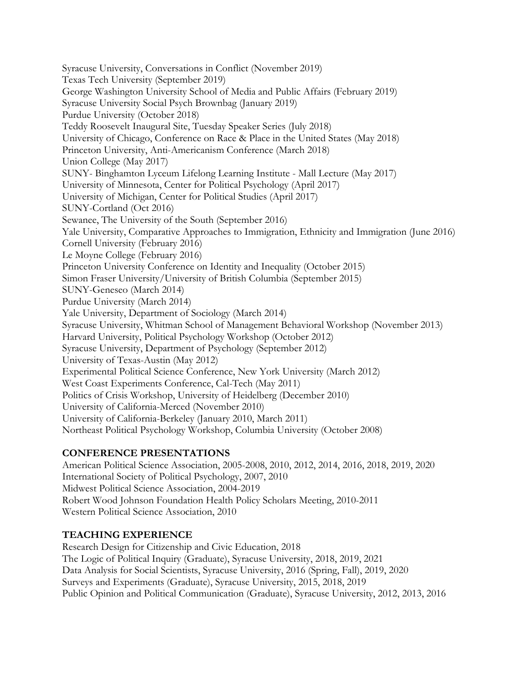Texas Tech University (September 2019) SUNY- Binghamton Lyceum Lifelong Learning Institute - Mall Lecture (May 2017) University of Michigan, Center for Political Studies (April 2017) Yale University, Comparative Approaches to Immigration, Ethnicity and Immigration (June 2016) Le Moyne College (February 2016) Syracuse University, Whitman School of Management Behavioral Workshop (November 2013) Harvard University, Political Psychology Workshop (October 2012) University of California-Berkeley (January 2010, March 2011) University of California-Berkeley (January 2010, March 2011) Northeast Political Psychology Workshop, Columbia University (October 2008) Syracuse University, Conversations in Conflict (November 2019) George Washington University School of Media and Public Affairs (February 2019) Syracuse University Social Psych Brownbag (January 2019) Purdue University (October 2018) Teddy Roosevelt Inaugural Site, Tuesday Speaker Series (July 2018) University of Chicago, Conference on Race & Place in the United States (May 2018) Princeton University, Anti-Americanism Conference (March 2018) Union College (May 2017) University of Minnesota, Center for Political Psychology (April 2017) SUNY-Cortland (Oct 2016) Sewanee, The University of the South (September 2016) Cornell University (February 2016) Princeton University Conference on Identity and Inequality (October 2015) Simon Fraser University/University of British Columbia (September 2015) SUNY-Geneseo (March 2014) Purdue University (March 2014) Yale University, Department of Sociology (March 2014) Syracuse University, Department of Psychology (September 2012) University of Texas-Austin (May 2012) Experimental Political Science Conference, New York University (March 2012) West Coast Experiments Conference, Cal-Tech (May 2011) Politics of Crisis Workshop, University of Heidelberg (December 2010) University of California-Merced (November 2010)

# **CONFERENCE PRESENTATIONS**

American Political Science Association, 2005-2008, 2010, 2012, 2014, 2016, 2018, 2019, 2020 International Society of Political Psychology, 2007, 2010 Midwest Political Science Association, 2004-2019 Robert Wood Johnson Foundation Health Policy Scholars Meeting, 2010-2011 Western Political Science Association, 2010

# **TEACHING EXPERIENCE**

 Research Design for Citizenship and Civic Education, 2018 The Logic of Political Inquiry (Graduate), Syracuse University, 2018, 2019, 2021 Data Analysis for Social Scientists, Syracuse University, 2016 (Spring, Fall), 2019, 2020 Surveys and Experiments (Graduate), Syracuse University, 2015, 2018, 2019 Public Opinion and Political Communication (Graduate), Syracuse University, 2012, 2013, 2016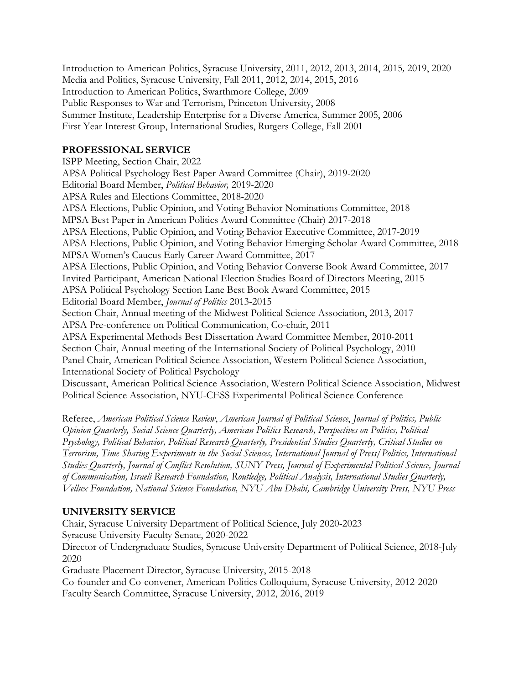Introduction to American Politics, Syracuse University, 2011, 2012, 2013, 2014, 2015*,* 2019, 2020 Media and Politics, Syracuse University, Fall 2011, 2012, 2014, 2015, 2016 Introduction to American Politics, Swarthmore College, 2009 Public Responses to War and Terrorism, Princeton University, 2008 Summer Institute, Leadership Enterprise for a Diverse America, Summer 2005, 2006 First Year Interest Group, International Studies, Rutgers College, Fall 2001

# **PROFESSIONAL SERVICE**

 Editorial Board Member, *Political Behavior,* 2019-2020 MPSA Women's Caucus Early Career Award Committee, 2017 APSA Political Psychology Section Lane Best Book Award Committee, 2015 APSA Pre-conference on Political Communication, Co-chair, 2011 Discussant, American Political Science Association, Western Political Science Association, Midwest ISPP Meeting, Section Chair, 2022 APSA Political Psychology Best Paper Award Committee (Chair), 2019-2020 APSA Rules and Elections Committee, 2018-2020 APSA Elections, Public Opinion, and Voting Behavior Nominations Committee, 2018 MPSA Best Paper in American Politics Award Committee (Chair) 2017-2018 APSA Elections, Public Opinion, and Voting Behavior Executive Committee, 2017-2019 APSA Elections, Public Opinion, and Voting Behavior Emerging Scholar Award Committee, 2018 APSA Elections, Public Opinion, and Voting Behavior Converse Book Award Committee, 2017 Invited Participant, American National Election Studies Board of Directors Meeting, 2015 Editorial Board Member, *Journal of Politics* 2013-2015 Section Chair, Annual meeting of the Midwest Political Science Association, 2013, 2017 APSA Experimental Methods Best Dissertation Award Committee Member, 2010-2011 Section Chair, Annual meeting of the International Society of Political Psychology, 2010 Panel Chair, American Political Science Association, Western Political Science Association, International Society of Political Psychology Political Science Association, NYU-CESS Experimental Political Science Conference

Referee, *American Political Science Review*, *American Journal of Political Science*, *Journal of Politics, Public Opinion Quarterly, Social Science Quarterly, American Politics Research, Perspectives on Politics, Political Psychology, Political Behavior, Political Research Quarterly, Presidential Studies Quarterly, Critical Studies on Terrorism, Time Sharing Experiments in the Social Sciences, International Journal of Press/Politics, International Studies Quarterly, Journal of Conflict Resolution, SUNY Press, Journal of Experimental Political Science, Journal of Communication, Israeli Research Foundation, Routledge, Political Analysis, International Studies Quarterly, Vellux Foundation, National Science Foundation, NYU Abu Dhabi, Cambridge University Press, NYU Press* 

# **UNIVERSITY SERVICE**

Chair, Syracuse University Department of Political Science, July 2020-2023 Syracuse University Faculty Senate, 2020-2022

Director of Undergraduate Studies, Syracuse University Department of Political Science, 2018-July 2020

Graduate Placement Director, Syracuse University, 2015-2018

 Faculty Search Committee, Syracuse University, 2012, 2016, 2019 Co-founder and Co-convener, American Politics Colloquium, Syracuse University, 2012-2020